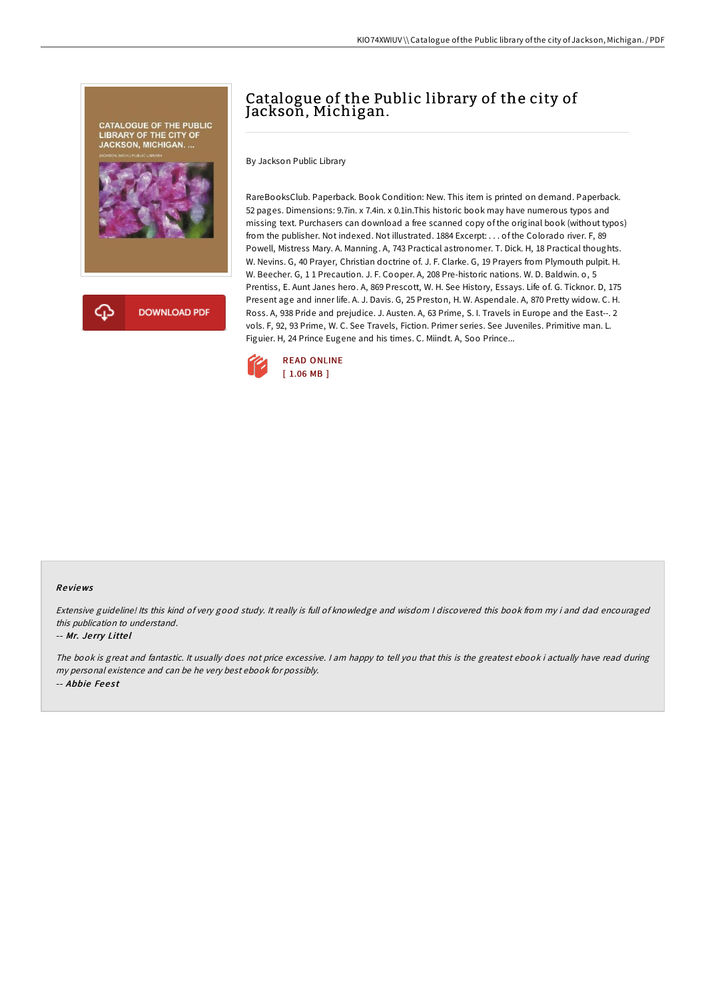

# Catalogue of the Public library of the city of Jackson, Michigan.

By Jackson Public Library

RareBooksClub. Paperback. Book Condition: New. This item is printed on demand. Paperback. 52 pages. Dimensions: 9.7in. x 7.4in. x 0.1in.This historic book may have numerous typos and missing text. Purchasers can download a free scanned copy of the original book (without typos) from the publisher. Not indexed. Not illustrated. 1884 Excerpt: . . . of the Colorado river. F, 89 Powell, Mistress Mary. A. Manning. A, 743 Practical astronomer. T. Dick. H, 18 Practical thoughts. W. Nevins. G, 40 Prayer, Christian doctrine of. J. F. Clarke. G, 19 Prayers from Plymouth pulpit. H. W. Beecher. G, 1 1 Precaution. J. F. Cooper. A, 208 Pre-historic nations. W. D. Baldwin. o, 5 Prentiss, E. Aunt Janes hero. A, 869 Prescott, W. H. See History, Essays. Life of. G. Ticknor. D, 175 Present age and inner life. A. J. Davis. G, 25 Preston, H. W. Aspendale. A, 870 Pretty widow. C. H. Ross. A, 938 Pride and prejudice. J. Austen. A, 63 Prime, S. I. Travels in Europe and the East--. 2 vols. F, 92, 93 Prime, W. C. See Travels, Fiction. Primer series. See Juveniles. Primitive man. L. Figuier. H, 24 Prince Eugene and his times. C. Miindt. A, Soo Prince...



#### Re views

Extensive guideline! Its this kind of very good study. It really is full of knowledge and wisdom <sup>I</sup> discovered this book from my i and dad encouraged this publication to understand.

#### -- Mr. Je rry Litte l

The book is great and fantastic. It usually does not price excessive. I am happy to tell you that this is the greatest ebook i actually have read during my personal existence and can be he very best ebook for possibly. -- Abbie Feest